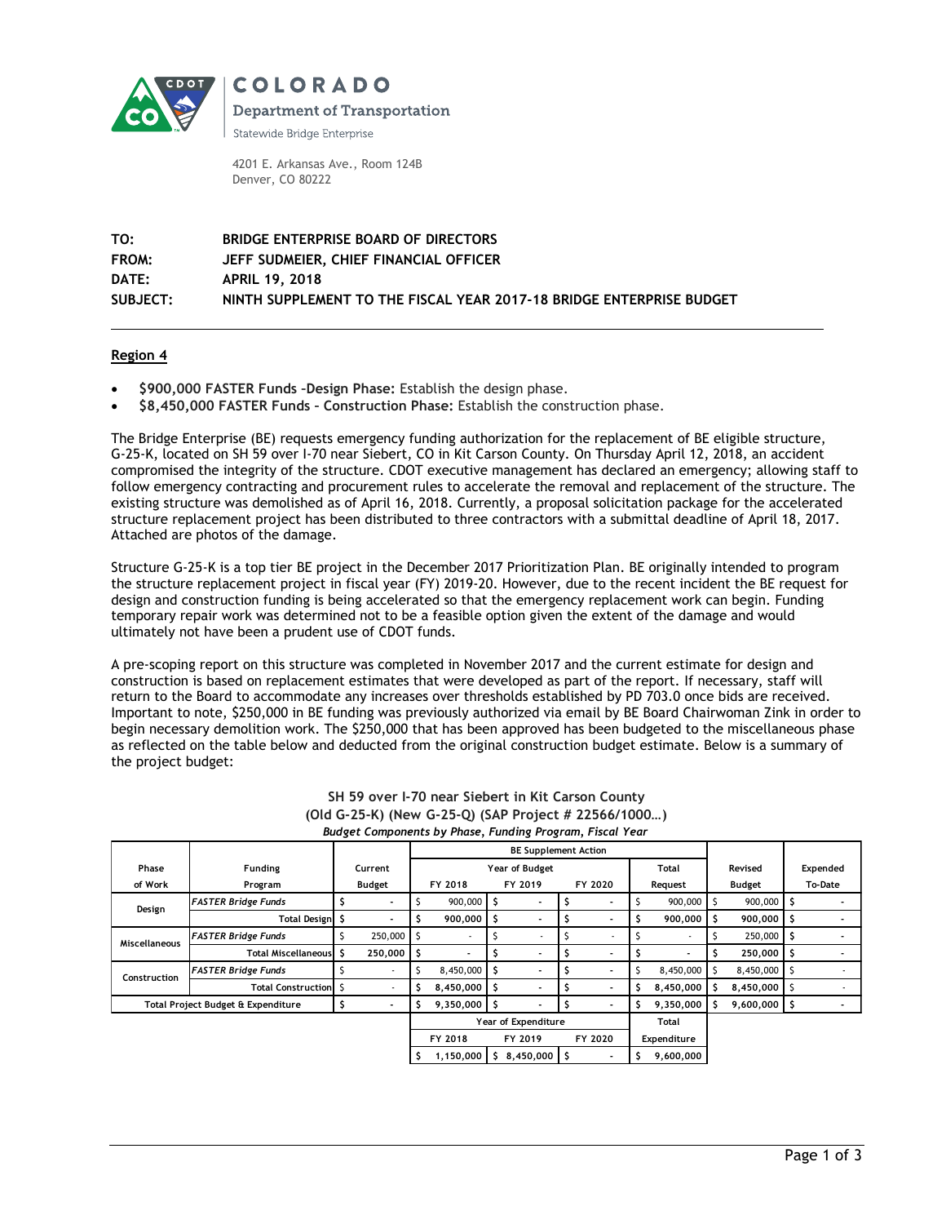

4201 E. Arkansas Ave., Room 124B Denver, CO 80222

**TO: BRIDGE ENTERPRISE BOARD OF DIRECTORS FROM: JEFF SUDMEIER, CHIEF FINANCIAL OFFICER DATE: APRIL 19, 2018 SUBJECT: NINTH SUPPLEMENT TO THE FISCAL YEAR 2017-18 BRIDGE ENTERPRISE BUDGET**

## **Region 4**

- **\$900,000 FASTER Funds –Design Phase:** Establish the design phase.
- **\$8,450,000 FASTER Funds – Construction Phase:** Establish the construction phase.

The Bridge Enterprise (BE) requests emergency funding authorization for the replacement of BE eligible structure, G-25-K, located on SH 59 over I-70 near Siebert, CO in Kit Carson County. On Thursday April 12, 2018, an accident compromised the integrity of the structure. CDOT executive management has declared an emergency; allowing staff to follow emergency contracting and procurement rules to accelerate the removal and replacement of the structure. The existing structure was demolished as of April 16, 2018. Currently, a proposal solicitation package for the accelerated structure replacement project has been distributed to three contractors with a submittal deadline of April 18, 2017. Attached are photos of the damage.

Structure G-25-K is a top tier BE project in the December 2017 Prioritization Plan. BE originally intended to program the structure replacement project in fiscal year (FY) 2019-20. However, due to the recent incident the BE request for design and construction funding is being accelerated so that the emergency replacement work can begin. Funding temporary repair work was determined not to be a feasible option given the extent of the damage and would ultimately not have been a prudent use of CDOT funds.

A pre-scoping report on this structure was completed in November 2017 and the current estimate for design and construction is based on replacement estimates that were developed as part of the report. If necessary, staff will return to the Board to accommodate any increases over thresholds established by PD 703.0 once bids are received. Important to note, \$250,000 in BE funding was previously authorized via email by BE Board Chairwoman Zink in order to begin necessary demolition work. The \$250,000 that has been approved has been budgeted to the miscellaneous phase as reflected on the table below and deducted from the original construction budget estimate. Below is a summary of the project budget:

|                                    |                            | ັ       |         |                             | -                  |         | ັ<br>-                   |         |             |         |           |        |                |         |          |  |
|------------------------------------|----------------------------|---------|---------|-----------------------------|--------------------|---------|--------------------------|---------|-------------|---------|-----------|--------|----------------|---------|----------|--|
|                                    |                            |         |         | <b>BE Supplement Action</b> |                    |         |                          |         |             |         |           |        |                |         |          |  |
| Phase                              | <b>Funding</b>             | Current |         | Year of Budget              |                    |         |                          |         |             |         | Total     |        | Revised        |         | Expended |  |
| of Work                            | Program                    |         | Budget  | FY 2018                     |                    | FY 2019 |                          | FY 2020 |             | Request |           | Budget |                | To-Date |          |  |
| Design                             | <b>FASTER Bridge Funds</b> |         |         |                             | 900,000            | s       |                          |         |             |         | 900,000   |        | $900,000$ \$   |         |          |  |
|                                    | Total Design \$            |         |         |                             | 900,000            | \$.     |                          |         |             |         | 900,000   |        | 900,000        | -S      |          |  |
| <b>Miscellaneous</b>               | <b>FASTER Bridge Funds</b> |         | 250,000 |                             |                    | D.      | $\overline{\phantom{a}}$ |         | ٠           |         |           |        | 250,000 \$     |         |          |  |
|                                    | <b>Total Miscellaneous</b> | S       | 250,000 |                             |                    |         |                          |         |             |         |           |        | 250,000        | -S      |          |  |
| Construction                       | <b>FASTER Bridge Funds</b> |         |         |                             | 8,450,000          | \$      |                          |         |             |         | 8,450,000 |        | 8,450,000      | -S      |          |  |
|                                    | Total Construction \$      |         |         |                             | 8,450,000          | s       |                          |         |             |         | 8,450,000 |        | 8,450,000      |         |          |  |
| Total Project Budget & Expenditure |                            |         |         |                             | 9,350,000          | s       |                          |         |             |         | 9,350,000 |        | $9,600,000$ \$ |         |          |  |
|                                    |                            |         |         | Year of Expenditure         |                    |         |                          |         |             |         | Total     |        |                |         |          |  |
|                                    |                            |         |         |                             | FY 2018<br>FY 2019 |         |                          | FY 2020 | Expenditure |         |           |        |                |         |          |  |
|                                    |                            |         |         |                             | 1,150,000          | \$      | 8,450,000                | S       |             |         | 9,600,000 |        |                |         |          |  |

## **SH 59 over I-70 near Siebert in Kit Carson County (Old G-25-K) (New G-25-Q) (SAP Project # 22566/1000…)** *Budget Components by Phase, Funding Program, Fiscal Year*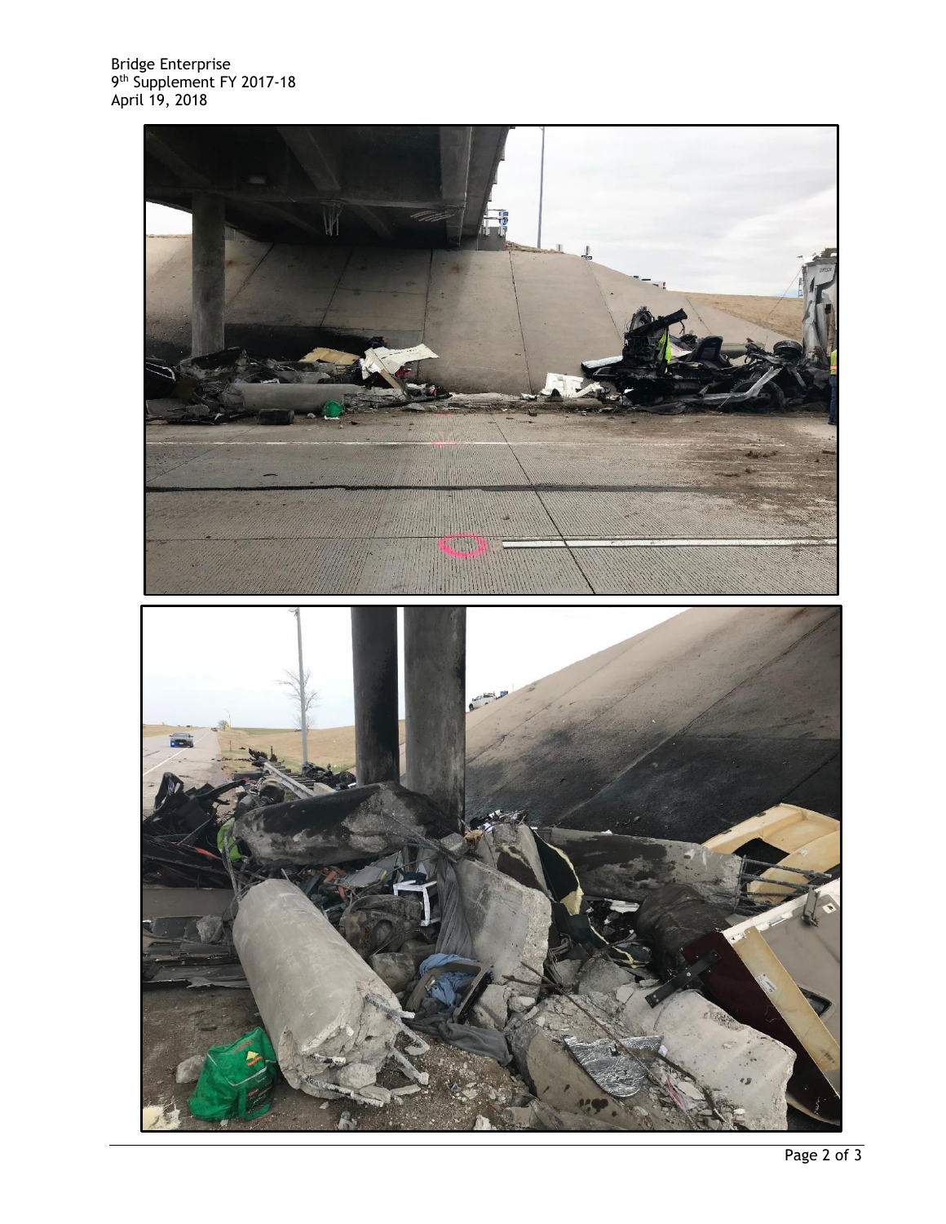